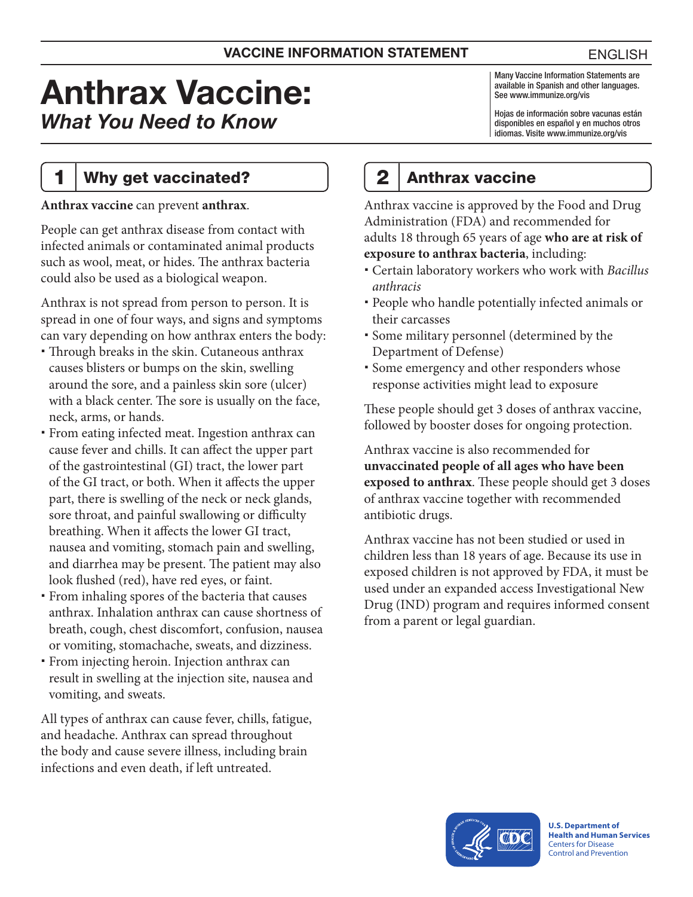# Anthrax Vaccine: *What You Need to Know*

### 1 | Why get vaccinated?

**Anthrax vaccine** can prevent **anthrax**.

People can get anthrax disease from contact with infected animals or contaminated animal products such as wool, meat, or hides. The anthrax bacteria could also be used as a biological weapon.

Anthrax is not spread from person to person. It is spread in one of four ways, and signs and symptoms can vary depending on how anthrax enters the body:

- Through breaks in the skin. Cutaneous anthrax causes blisters or bumps on the skin, swelling around the sore, and a painless skin sore (ulcer) with a black center. The sore is usually on the face, neck, arms, or hands.
- From eating infected meat. Ingestion anthrax can cause fever and chills. It can affect the upper part of the gastrointestinal (GI) tract, the lower part of the GI tract, or both. When it affects the upper part, there is swelling of the neck or neck glands, sore throat, and painful swallowing or difficulty breathing. When it affects the lower GI tract, nausea and vomiting, stomach pain and swelling, and diarrhea may be present. The patient may also look flushed (red), have red eyes, or faint.
- From inhaling spores of the bacteria that causes anthrax. Inhalation anthrax can cause shortness of breath, cough, chest discomfort, confusion, nausea or vomiting, stomachache, sweats, and dizziness.
- From injecting heroin. Injection anthrax can result in swelling at the injection site, nausea and vomiting, and sweats.

All types of anthrax can cause fever, chills, fatigue, and headache. Anthrax can spread throughout the body and cause severe illness, including brain infections and even death, if left untreated.

Many Vaccine Information Statements are available in Spanish and other languages. See [www.immunize.org/vis](http://www.immunize.org/vis)

Hojas de información sobre vacunas están disponibles en español y en muchos otros idiomas. Visite [www.immunize.org/vis](http://www.immunize.org/vis)

# 2 Anthrax vaccine

Anthrax vaccine is approved by the Food and Drug Administration (FDA) and recommended for adults 18 through 65 years of age **who are at risk of exposure to anthrax bacteria**, including:

- Certain laboratory workers who work with *Bacillus anthracis*
- People who handle potentially infected animals or their carcasses
- Some military personnel (determined by the Department of Defense)
- Some emergency and other responders whose response activities might lead to exposure

These people should get 3 doses of anthrax vaccine, followed by booster doses for ongoing protection.

Anthrax vaccine is also recommended for **unvaccinated people of all ages who have been exposed to anthrax**. These people should get 3 doses of anthrax vaccine together with recommended antibiotic drugs.

Anthrax vaccine has not been studied or used in children less than 18 years of age. Because its use in exposed children is not approved by FDA, it must be used under an expanded access Investigational New Drug (IND) program and requires informed consent from a parent or legal guardian.



**U.S. Department of Health and Human Services**  Centers for Disease Control and Prevention